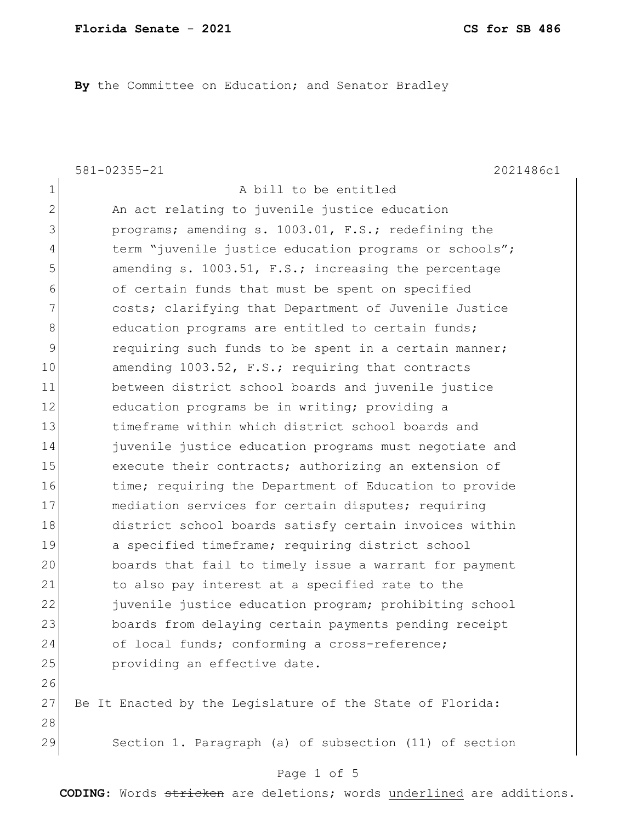By the Committee on Education; and Senator Bradley

581-02355-21 2021486c1

1 a bill to be entitled 2 An act relating to juvenile justice education 3 **programs;** amending s. 1003.01, F.S.; redefining the 4 term "juvenile justice education programs or schools"; 5 5 5 5 amending s. 1003.51, F.S.; increasing the percentage 6 of certain funds that must be spent on specified 7 **costs;** clarifying that Department of Juvenile Justice 8 education programs are entitled to certain funds; 9 requiring such funds to be spent in a certain manner; 10 amending 1003.52, F.S.; requiring that contracts 11 between district school boards and juvenile justice 12 education programs be in writing; providing a 13 timeframe within which district school boards and 14 **juvenile** justice education programs must negotiate and 15 execute their contracts; authorizing an extension of 16 time; requiring the Department of Education to provide 17 mediation services for certain disputes; requiring 18 district school boards satisfy certain invoices within 19 a specified timeframe; requiring district school 20 boards that fail to timely issue a warrant for payment 21 to also pay interest at a specified rate to the 22 juvenile justice education program; prohibiting school 23 boards from delaying certain payments pending receipt 24 of local funds; conforming a cross-reference; 25 **providing an effective date.** 26 27 Be It Enacted by the Legislature of the State of Florida: 28 29 Section 1. Paragraph (a) of subsection (11) of section

#### Page 1 of 5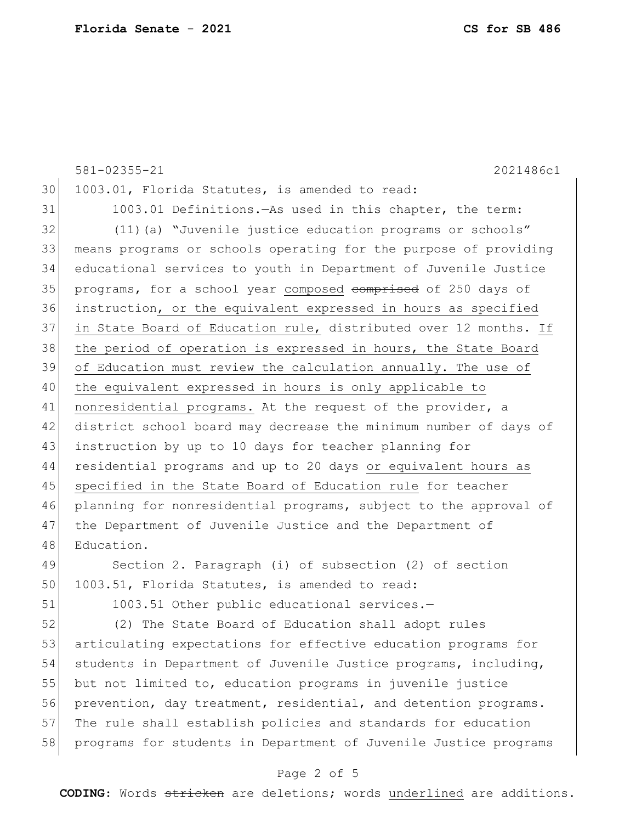|    | 581-02355-21<br>2021486c1                                        |
|----|------------------------------------------------------------------|
| 30 | 1003.01, Florida Statutes, is amended to read:                   |
| 31 | 1003.01 Definitions. - As used in this chapter, the term:        |
| 32 | (11) (a) "Juvenile justice education programs or schools"        |
| 33 | means programs or schools operating for the purpose of providing |
| 34 | educational services to youth in Department of Juvenile Justice  |
| 35 | programs, for a school year composed comprised of 250 days of    |
| 36 | instruction, or the equivalent expressed in hours as specified   |
| 37 | in State Board of Education rule, distributed over 12 months. If |
| 38 | the period of operation is expressed in hours, the State Board   |
| 39 | of Education must review the calculation annually. The use of    |
| 40 | the equivalent expressed in hours is only applicable to          |
| 41 | nonresidential programs. At the request of the provider, a       |
| 42 | district school board may decrease the minimum number of days of |
| 43 | instruction by up to 10 days for teacher planning for            |
| 44 | residential programs and up to 20 days or equivalent hours as    |
| 45 | specified in the State Board of Education rule for teacher       |
| 46 | planning for nonresidential programs, subject to the approval of |
| 47 | the Department of Juvenile Justice and the Department of         |
| 48 | Education.                                                       |
| 49 | Section 2. Paragraph (i) of subsection (2) of section            |
| 50 | 1003.51, Florida Statutes, is amended to read:                   |
| 51 | 1003.51 Other public educational services.-                      |
|    |                                                                  |

52 (2) The State Board of Education shall adopt rules 53 articulating expectations for effective education programs for 54 students in Department of Juvenile Justice programs, including, 55 but not limited to, education programs in juvenile justice 56 prevention, day treatment, residential, and detention programs. 57 The rule shall establish policies and standards for education 58 programs for students in Department of Juvenile Justice programs

## Page 2 of 5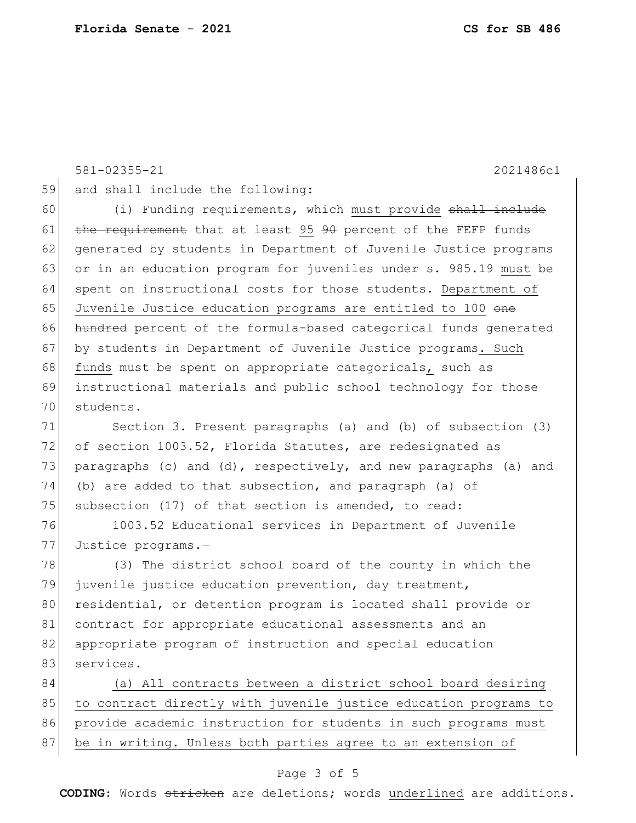581-02355-21 2021486c1 59 and shall include the following: 60 (i) Funding requirements, which must provide shall include 61  $the$  requirement that at least 95  $90$  percent of the FEFP funds 62 generated by students in Department of Juvenile Justice programs 63 or in an education program for juveniles under s. 985.19 must be 64 spent on instructional costs for those students. Department of 65 Juvenile Justice education programs are entitled to 100 one 66 hundred percent of the formula-based categorical funds generated 67 by students in Department of Juvenile Justice programs. Such 68 funds must be spent on appropriate categoricals, such as 69 instructional materials and public school technology for those 70 students. 71 Section 3. Present paragraphs (a) and (b) of subsection (3) 72 of section 1003.52, Florida Statutes, are redesignated as 73 paragraphs (c) and (d), respectively, and new paragraphs (a) and 74 (b) are added to that subsection, and paragraph (a) of 75 subsection (17) of that section is amended, to read: 76 1003.52 Educational services in Department of Juvenile 77 Justice programs.— 78 (3) The district school board of the county in which the 79 juvenile justice education prevention, day treatment, 80 residential, or detention program is located shall provide or 81 contract for appropriate educational assessments and an 82 appropriate program of instruction and special education 83 services. 84 (a) All contracts between a district school board desiring 85 to contract directly with juvenile justice education programs to 86 provide academic instruction for students in such programs must 87 be in writing. Unless both parties agree to an extension of

### Page 3 of 5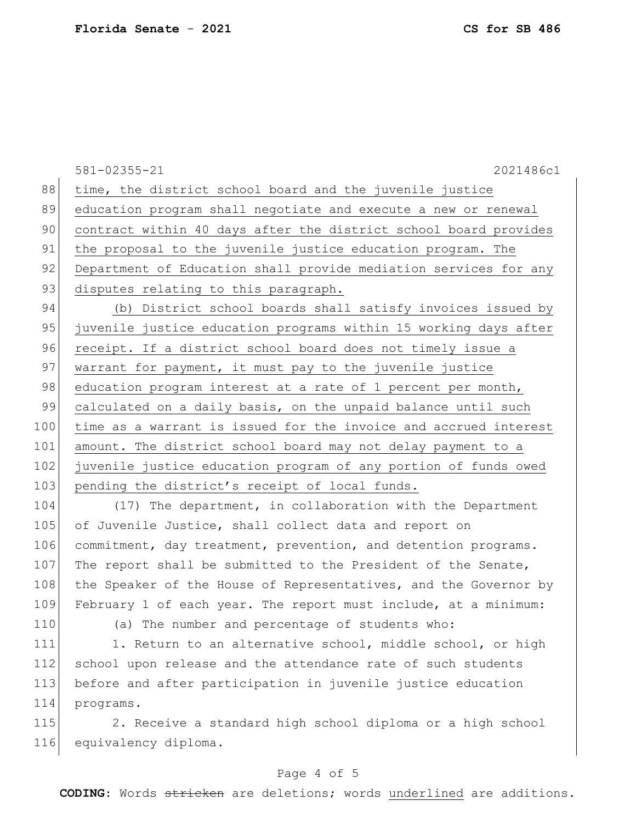581-02355-21 2021486c1 88 time, the district school board and the juvenile justice 89 education program shall negotiate and execute a new or renewal 90 contract within 40 days after the district school board provides 91 the proposal to the juvenile justice education program. The 92 Department of Education shall provide mediation services for any 93 disputes relating to this paragraph. 94 (b) District school boards shall satisfy invoices issued by 95 juvenile justice education programs within 15 working days after 96 receipt. If a district school board does not timely issue a 97 warrant for payment, it must pay to the juvenile justice 98 education program interest at a rate of 1 percent per month, 99 calculated on a daily basis, on the unpaid balance until such 100 time as a warrant is issued for the invoice and accrued interest 101 amount. The district school board may not delay payment to a 102 juvenile justice education program of any portion of funds owed 103 pending the district's receipt of local funds. 104 (17) The department, in collaboration with the Department 105 of Juvenile Justice, shall collect data and report on

106 commitment, day treatment, prevention, and detention programs. 107 The report shall be submitted to the President of the Senate, 108 the Speaker of the House of Representatives, and the Governor by 109 February 1 of each year. The report must include, at a minimum: 110 (a) The number and percentage of students who:

111 1. Return to an alternative school, middle school, or high 112 school upon release and the attendance rate of such students 113 before and after participation in juvenile justice education 114 programs.

115 2. Receive a standard high school diploma or a high school 116 equivalency diploma.

## Page 4 of 5